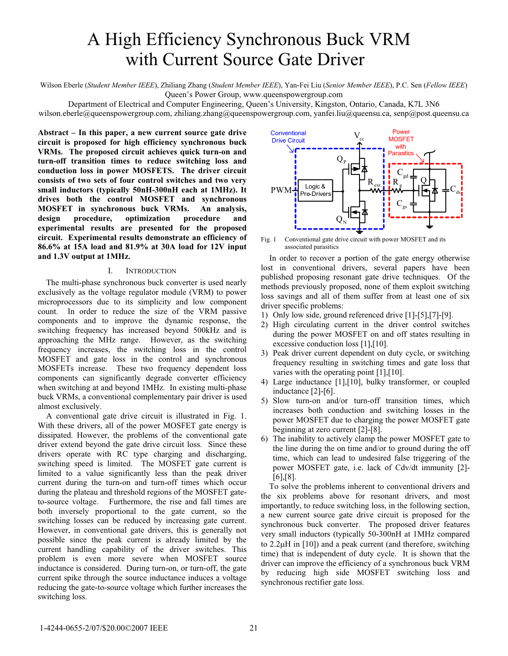# with Current Source Gate Driver A High Efficiency Synchronous Buck VRM

Wilson Eberle (*Student Member IEEE*), Zhiliang Zhang (*Student Member IEEE*), Yan-Fei Liu (*Senior Member IEEE*), P.C. Sen (*Fellow IEEE*) Queen's Power Group, www.queenspowergroup.com

Department of Electrical and Computer Engineering, Queen's University, Kingston, Ontario, Canada, K7L 3N6 wilson.eberle@queenspowergroup.com, zhiliang.zhang@queenspowergroup.com, yanfei.liu@queensu.ca, senp@post.queensu.ca

**Abstract – In this paper, a new current source gate drive circuit is proposed for high efficiency synchronous buck VRMs. The proposed circuit achieves quick turn-on and turn-off transition times to reduce switching loss and conduction loss in power MOSFETS. The driver circuit consists of two sets of four control switches and two very small inductors (typically 50nH-300nH each at 1MHz). It drives both the control MOSFET and synchronous MOSFET in synchronous buck VRMs. An analysis, design procedure, optimization procedure and experimental results are presented for the proposed circuit. Experimental results demonstrate an efficiency of 86.6% at 15A load and 81.9% at 30A load for 12V input and 1.3V output at 1MHz.** 

## I. INTRODUCTION

The multi-phase synchronous buck converter is used nearly exclusively as the voltage regulator module (VRM) to power microprocessors due to its simplicity and low component count. In order to reduce the size of the VRM passive components and to improve the dynamic response, the switching frequency has increased beyond 500kHz and is approaching the MHz range. However, as the switching frequency increases, the switching loss in the control MOSFET and gate loss in the control and synchronous MOSFETs increase. These two frequency dependent loss components can significantly degrade converter efficiency when switching at and beyond 1MHz. In existing multi-phase buck VRMs, a conventional complementary pair driver is used almost exclusively.

A conventional gate drive circuit is illustrated in Fig. 1. With these drivers, all of the power MOSFET gate energy is dissipated. However, the problems of the conventional gate driver extend beyond the gate drive circuit loss. Since these drivers operate with RC type charging and discharging, switching speed is limited. The MOSFET gate current is limited to a value significantly less than the peak driver current during the turn-on and turn-off times which occur during the plateau and threshold regions of the MOSFET gateto-source voltage. Furthermore, the rise and fall times are both inversely proportional to the gate current, so the switching losses can be reduced by increasing gate current. However, in conventional gate drivers, this is generally not possible since the peak current is already limited by the current handling capability of the driver switches. This problem is even more severe when MOSFET source inductance is considered. During turn-on, or turn-off, the gate current spike through the source inductance induces a voltage reducing the gate-to-source voltage which further increases the switching loss.



Fig. 1 Conventional gate drive circuit with power MOSFET and its associated parasitics

In order to recover a portion of the gate energy otherwise lost in conventional drivers, several papers have been published proposing resonant gate drive techniques. Of the methods previously proposed, none of them exploit switching loss savings and all of them suffer from at least one of six driver specific problems:

- 1) Only low side, ground referenced drive [1]-[5],[7]-[9].
- 2) High circulating current in the driver control switches during the power MOSFET on and off states resulting in excessive conduction loss [1],[10].
- 3) Peak driver current dependent on duty cycle, or switching frequency resulting in switching times and gate loss that varies with the operating point [1],[10].
- 4) Large inductance [1],[10], bulky transformer, or coupled inductance [2]-[6].
- 5) Slow turn-on and/or turn-off transition times, which increases both conduction and switching losses in the power MOSFET due to charging the power MOSFET gate beginning at zero current [2]-[8].
- 6) The inability to actively clamp the power MOSFET gate to the line during the on time and/or to ground during the off time, which can lead to undesired false triggering of the power MOSFET gate, i.e. lack of Cdv/dt immunity [2]- [6],[8].

To solve the problems inherent to conventional drivers and the six problems above for resonant drivers, and most importantly, to reduce switching loss, in the following section, a new current source gate drive circuit is proposed for the synchronous buck converter. The proposed driver features very small inductors (typically 50-300nH at 1MHz compared to  $2.2\mu$ H in [10]) and a peak current (and therefore, switching time) that is independent of duty cycle. It is shown that the driver can improve the efficiency of a synchronous buck VRM by reducing high side MOSFET switching loss and synchronous rectifier gate loss.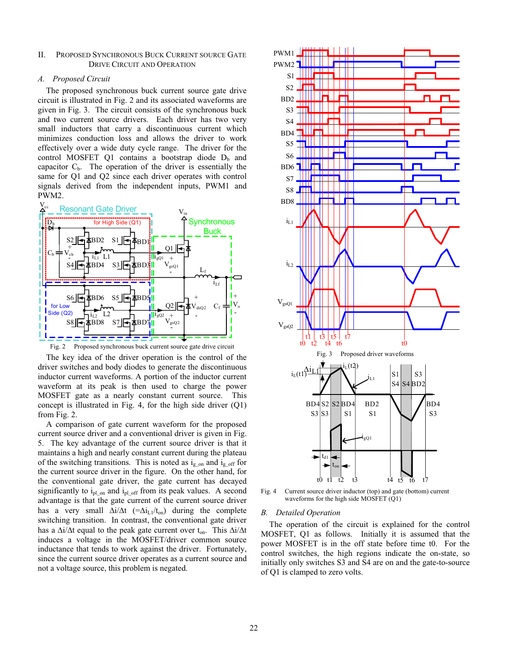## II. PROPOSED SYNCHRONOUS BUCK CURRENT SOURCE GATE DRIVE CIRCUIT AND OPERATION

## *A. Proposed Circuit*

The proposed synchronous buck current source gate drive circuit is illustrated in Fig. 2 and its associated waveforms are given in Fig. 3. The circuit consists of the synchronous buck and two current source drivers. Each driver has two very small inductors that carry a discontinuous current which minimizes conduction loss and allows the driver to work effectively over a wide duty cycle range. The driver for the control MOSFET Q1 contains a bootstrap diode  $D<sub>b</sub>$  and capacitor  $C_b$ . The operation of the driver is essentially the same for Q1 and Q2 since each driver operates with control signals derived from the independent inputs, PWM1 and PWM2.



Fig. 2 Proposed synchronous buck current source gate drive circuit

The key idea of the driver operation is the control of the driver switches and body diodes to generate the discontinuous inductor current waveforms. A portion of the inductor current waveform at its peak is then used to charge the power MOSFET gate as a nearly constant current source. This concept is illustrated in Fig. 4, for the high side driver (Q1) from Fig. 2.

A comparison of gate current waveform for the proposed current source driver and a conventional driver is given in Fig. 5. The key advantage of the current source driver is that it maintains a high and nearly constant current during the plateau of the switching transitions. This is noted as  $i_{\rm g \text{ on }}$  and  $i_{\rm g \text{ off }}$  for the current source driver in the figure. On the other hand, for the conventional gate driver, the gate current has decayed significantly to  $i<sub>pl</sub>$  on and  $i<sub>pl</sub>$  off from its peak values. A second advantage is that the gate current of the current source driver has a very small  $\Delta i/\Delta t$  (= $\Delta i_{L1}/t_{on}$ ) during the complete switching transition. In contrast, the conventional gate driver has a  $\Delta i/\Delta t$  equal to the peak gate current over t<sub>on</sub>. This  $\Delta i/\Delta t$ induces a voltage in the MOSFET/driver common source inductance that tends to work against the driver. Fortunately, since the current source driver operates as a current source and not a voltage source, this problem is negated.



Fig. 4 Current source driver inductor (top) and gate (bottom) current waveforms for the high side MOSFET (Q1)

#### *B. Detailed Operation*

The operation of the circuit is explained for the control MOSFET, Q1 as follows. Initially it is assumed that the power MOSFET is in the off state before time t0. For the control switches, the high regions indicate the on-state, so initially only switches S3 and S4 are on and the gate-to-source of Q1 is clamped to zero volts.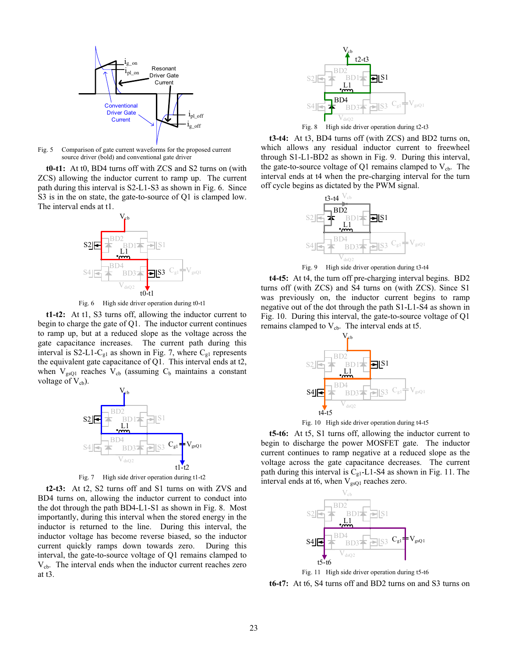

Fig. 5 Comparison of gate current waveforms for the proposed current source driver (bold) and conventional gate driver

**t0-t1:** At t0, BD4 turns off with ZCS and S2 turns on (with ZCS) allowing the inductor current to ramp up. The current path during this interval is S2-L1-S3 as shown in Fig. 6. Since S3 is in the on state, the gate-to-source of Q1 is clamped low. The interval ends at t1.



Fig. 6 High side driver operation during t0-t1

**t1-t2:** At t1, S3 turns off, allowing the inductor current to begin to charge the gate of Q1. The inductor current continues to ramp up, but at a reduced slope as the voltage across the gate capacitance increases. The current path during this interval is S2-L1-C<sub>g1</sub> as shown in Fig. 7, where C<sub>g1</sub> represents the equivalent gate capacitance of Q1. This interval ends at t2, when  $V_{gsQ1}$  reaches  $V_{cb}$  (assuming  $C_b$  maintains a constant voltage of  $V_{cb}$ ).



Fig. 7 High side driver operation during t1-t2

**t2-t3:** At t2, S2 turns off and S1 turns on with ZVS and BD4 turns on, allowing the inductor current to conduct into the dot through the path BD4-L1-S1 as shown in Fig. 8. Most importantly, during this interval when the stored energy in the inductor is returned to the line. During this interval, the inductor voltage has become reverse biased, so the inductor current quickly ramps down towards zero. During this interval, the gate-to-source voltage of Q1 remains clamped to  $V_{cb}$ . The interval ends when the inductor current reaches zero at t3.



Fig. 8 High side driver operation during t2-t3

**t3-t4:** At t3, BD4 turns off (with ZCS) and BD2 turns on, which allows any residual inductor current to freewheel through S1-L1-BD2 as shown in Fig. 9. During this interval, the gate-to-source voltage of Q1 remains clamped to  $V_{cb}$ . The interval ends at t4 when the pre-charging interval for the turn off cycle begins as dictated by the PWM signal.



Fig. 9 High side driver operation during t3-t4

**t4-t5:** At t4, the turn off pre-charging interval begins. BD2 turns off (with ZCS) and S4 turns on (with ZCS). Since S1 was previously on, the inductor current begins to ramp negative out of the dot through the path S1-L1-S4 as shown in Fig. 10. During this interval, the gate-to-source voltage of Q1 remains clamped to  $V_{cb}$ . The interval ends at t5.



Fig. 10 High side driver operation during t4-t5

**t5-t6:** At t5, S1 turns off, allowing the inductor current to begin to discharge the power MOSFET gate. The inductor current continues to ramp negative at a reduced slope as the voltage across the gate capacitance decreases. The current path during this interval is  $C_{gl}$ -L1-S4 as shown in Fig. 11. The interval ends at t6, when  $V_{gsQ1}$  reaches zero.



Fig. 11 High side driver operation during t5-t6

**t6-t7:** At t6, S4 turns off and BD2 turns on and S3 turns on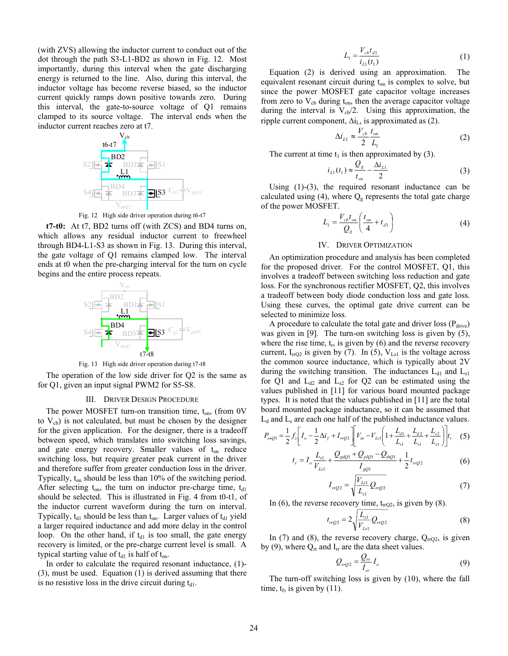(with ZVS) allowing the inductor current to conduct out of the dot through the path S3-L1-BD2 as shown in Fig. 12. Most importantly, during this interval when the gate discharging energy is returned to the line. Also, during this interval, the inductor voltage has become reverse biased, so the inductor current quickly ramps down positive towards zero. During this interval, the gate-to-source voltage of Q1 remains clamped to its source voltage. The interval ends when the inductor current reaches zero at t7.



Fig. 12 High side driver operation during t6-t7

**t7-t0:** At t7, BD2 turns off (with ZCS) and BD4 turns on, which allows any residual inductor current to freewheel through BD4-L1-S3 as shown in Fig. 13. During this interval, the gate voltage of Q1 remains clamped low. The interval ends at t0 when the pre-charging interval for the turn on cycle begins and the entire process repeats.



Fig. 13 High side driver operation during t7-t8

The operation of the low side driver for Q2 is the same as for Q1, given an input signal PWM2 for S5-S8.

#### III. DRIVER DESIGN PROCEDURE

The power MOSFET turn-on transition time,  $t_{on}$ , (from 0V to  $V_{cb}$ ) is not calculated, but must be chosen by the designer for the given application. For the designer, there is a tradeoff between speed, which translates into switching loss savings, and gate energy recovery. Smaller values of  $t_{on}$  reduce switching loss, but require greater peak current in the driver and therefore suffer from greater conduction loss in the driver. Typically, t<sub>on</sub> should be less than 10% of the switching period. After selecting  $t_{on}$ , the turn on inductor pre-charge time,  $t_{d1}$ should be selected. This is illustrated in Fig. 4 from t0-t1, of the inductor current waveform during the turn on interval. Typically,  $t_{d1}$  should be less than  $t_{on}$ . Larger values of  $t_{d1}$  yield a larger required inductance and add more delay in the control loop. On the other hand, if  $t_{d1}$  is too small, the gate energy recovery is limited, or the pre-charge current level is small. A typical starting value of  $t_{d1}$  is half of  $t_{on}$ .

In order to calculate the required resonant inductance, (1)- (3), must be used. Equation (1) is derived assuming that there is no resistive loss in the drive circuit during  $t_{d1}$ .

$$
L_1 = \frac{V_{cb}t_{d1}}{i_{L1}(t_1)}\tag{1}
$$

Equation (2) is derived using an approximation. The equivalent resonant circuit during  $t_{on}$  is complex to solve, but since the power MOSFET gate capacitor voltage increases from zero to  $V_{cb}$  during  $t_{on}$ , then the average capacitor voltage during the interval is  $V_{cb}/2$ . Using this approximation, the ripple current component,  $\Delta i_L$ , is approximated as (2).

$$
\Delta i_{L1} \approx \frac{V_{cb}}{2} \frac{t_{on}}{L_1} \tag{2}
$$

The current at time  $t_1$  is then approximated by (3).

$$
i_{L1}(t_1) \approx \frac{Q_g}{t_{on}} - \frac{\Delta i_{L1}}{2}
$$
 (3)

Using (1)-(3), the required resonant inductance can be calculated using (4), where  $Q_g$  represents the total gate charge of the power MOSFET.

$$
L_1 = \frac{V_{cb}t_{on}}{Q_g} \left(\frac{t_{on}}{4} + t_{d1}\right)
$$
 (4)

## IV. DRIVER OPTIMIZATION

An optimization procedure and analysis has been completed for the proposed driver. For the control MOSFET, Q1, this involves a tradeoff between switching loss reduction and gate loss. For the synchronous rectifier MOSFET, Q2, this involves a tradeoff between body diode conduction loss and gate loss. Using these curves, the optimal gate drive current can be selected to minimize loss.

A procedure to calculate the total gate and driver loss  $(P_{\text{drive}})$ was given in [9]. The turn-on switching loss is given by  $(5)$ , where the rise time,  $t_r$ , is given by  $(6)$  and the reverse recovery current,  $I_{rrQ2}$  is given by (7). In (5),  $V_{Ls1}$  is the voltage across the common source inductance, which is typically about 2V during the switching transition. The inductances  $L_{d1}$  and  $L_{s1}$ for Q1 and  $L_{d2}$  and  $L_{s2}$  for Q2 can be estimated using the values published in [11] for various board mounted package types. It is noted that the values published in [11] are the total board mounted package inductance, so it can be assumed that  $L_d$  and  $L_s$  are each one half of the published inductance values.

$$
P_{onQ1} = \frac{1}{2} f_s \left[ I_o - \frac{1}{2} \Delta i_f + I_{rQ2} \right] V_{in} - V_{Lsl} \left( 1 + \frac{L_{d1}}{L_{s1}} + \frac{L_{d2}}{L_{s1}} + \frac{L_{s2}}{L_{s1}} \right) \Big| t_r \quad (5)
$$

$$
t_r = I_o \frac{L_{s1}}{V_{Ls1}} + \frac{Q_{gdQ1} + Q_{plQ1} - Q_{thQ1}}{I_{gQ1}} + \frac{1}{2} t_{rq2} \tag{6}
$$

$$
I_{mQ2} = \sqrt{\frac{V_{Ls1}}{L_{s1}}} Q_{mQ2}
$$
 (7)

In (6), the reverse recovery time,  $t_{\text{rrQ2}}$ , is given by (8).

$$
t_{mQ2} = 2\sqrt{\frac{L_{s1}}{V_{Ls1}}} Q_{mQ2}
$$
 (8)

In (7) and (8), the reverse recovery charge,  $Q_{rrQ2}$ , is given by (9), where  $Q_{rr}$  and  $I_{rr}$  are the data sheet values.

$$
Q_{rQ2} = \frac{Q_{rr}}{I_{rr}} I_o \tag{9}
$$

The turn-off switching loss is given by (10), where the fall time,  $t_f$ , is given by (11).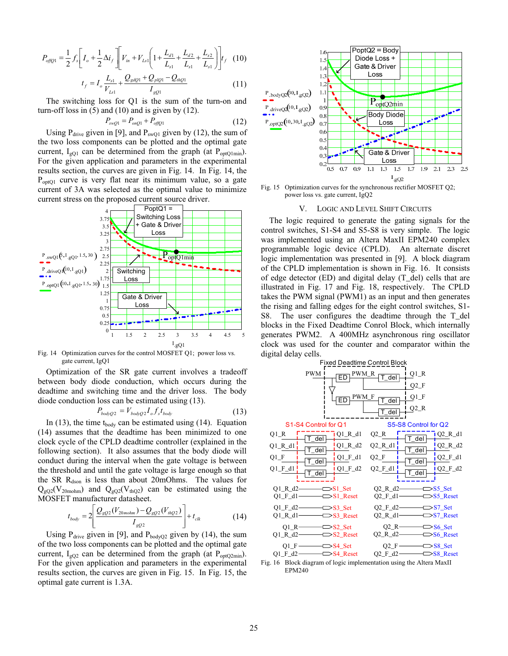$$
P_{offQ1} = \frac{1}{2} f_s \left[ I_o + \frac{1}{2} \Delta i_f \right] \left[ V_{in} + V_{Ls1} \left( 1 + \frac{L_{d1}}{L_{s1}} + \frac{L_{d2}}{L_{s1}} + \frac{L_{s2}}{L_{s1}} \right) \right] t_f \quad (10)
$$

$$
t_f = I_o \frac{L_{s1}}{V_{Ls1}} + \frac{Q_{gdQ1} + Q_{plQ1} - Q_{thQ1}}{I_{gQ1}} \tag{11}
$$

The switching loss for Q1 is the sum of the turn-on and turn-off loss in (5) and (10) and is given by (12).

$$
P_{swQ1} = P_{onQ1} + P_{offQ1} \tag{12}
$$

Using  $P_{\text{drive}}$  given in [9], and  $P_{\text{sw01}}$  given by (12), the sum of the two loss components can be plotted and the optimal gate current,  $I_{gQ1}$  can be determined from the graph (at  $P_{optQ1min}$ ). For the given application and parameters in the experimental results section, the curves are given in Fig. 14. In Fig. 14, the  $P_{\text{optO1}}$  curve is very flat near its minimum value, so a gate current of 3A was selected as the optimal value to minimize current stress on the proposed current source driver.



Fig. 14 Optimization curves for the control MOSFET Q1; power loss vs. gate current, IgQ1

Optimization of the SR gate current involves a tradeoff between body diode conduction, which occurs during the deadtime and switching time and the driver loss. The body diode conduction loss can be estimated using (13).

$$
P_{bodyQ2} = V_{bodyQ2} I_o f_s t_{body} \tag{13}
$$

In (13), the time t<sub>body</sub> can be estimated using (14). Equation (14) assumes that the deadtime has been minimized to one clock cycle of the CPLD deadtime controller (explained in the following section). It also assumes that the body diode will conduct during the interval when the gate voltage is between the threshold and until the gate voltage is large enough so that the SR  $R_{\text{dson}}$  is less than about 20mOhms. The values for  $Q_{gQ2}(V_{20mohm})$  and  $Q_{gQ2}(V_{thQ2})$  can be estimated using the MOSFET manufacturer datasheet.

$$
t_{body} = 2 \left[ \frac{Q_{gQ2}(V_{20\text{ mol/m}}) - Q_{gQ2}(V_{thQ2})}{I_{gQ2}} \right] + t_{clk}
$$
 (14)

Using  $P_{\text{drive}}$  given in [9], and  $P_{\text{bodyO2}}$  given by (14), the sum of the two loss components can be plotted and the optimal gate current,  $I_{gQ2}$  can be determined from the graph (at  $P_{optQ2min}$ ). For the given application and parameters in the experimental results section, the curves are given in Fig. 15. In Fig. 15, the optimal gate current is 1.3A.



Fig. 15 Optimization curves for the synchronous rectifier MOSFET Q2; power loss vs. gate current, IgQ2

#### V. LOGIC AND LEVEL SHIFT CIRCUITS

The logic required to generate the gating signals for the control switches, S1-S4 and S5-S8 is very simple. The logic was implemented using an Altera MaxII EPM240 complex programmable logic device (CPLD). An alternate discret logic implementation was presented in [9]. A block diagram of the CPLD implementation is shown in Fig. 16. It consists of edge detector (ED) and digital delay (T\_del) cells that are illustrated in Fig. 17 and Fig. 18, respectively. The CPLD takes the PWM signal (PWM1) as an input and then generates the rising and falling edges for the eight control switches, S1- S8. The user configures the deadtime through the T\_del blocks in the Fixed Deadtime Conrol Block, which internally generates PWM2. A 400MHz asynchronous ring oscillator clock was used for the counter and comparator within the digital delay cells.



Fig. 16 Block diagram of logic implementation using the Altera MaxII EPM240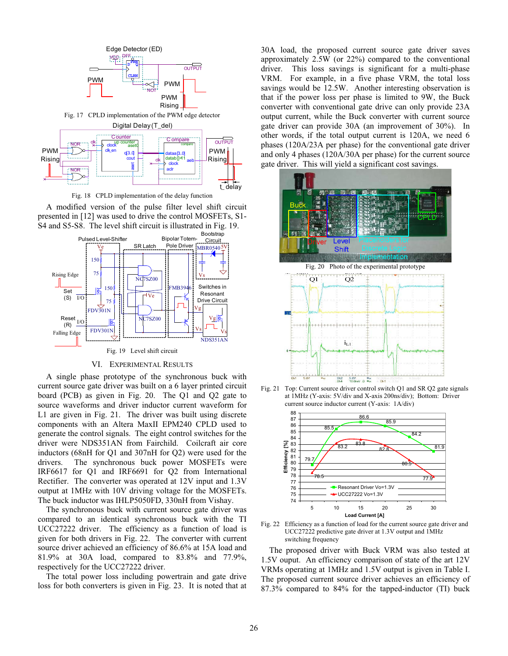

Fig. 18 CPLD implementation of the delay function

A modified version of the pulse filter level shift circuit presented in [12] was used to drive the control MOSFETs, S1- S4 and S5-S8. The level shift circuit is illustrated in Fig. 19.



#### VI. EXPERIMENTAL RESULTS

A single phase prototype of the synchronous buck with current source gate driver was built on a 6 layer printed circuit board (PCB) as given in Fig. 20. The Q1 and Q2 gate to source waveforms and driver inductor current waveform for L1 are given in Fig. 21. The driver was built using discrete components with an Altera MaxII EPM240 CPLD used to generate the control signals. The eight control switches for the driver were NDS351AN from Fairchild. Coilcraft air core inductors (68nH for Q1 and 307nH for Q2) were used for the drivers. The synchronous buck power MOSFETs were IRF6617 for Q1 and IRF6691 for Q2 from International Rectifier. The converter was operated at 12V input and 1.3V output at 1MHz with 10V driving voltage for the MOSFETs. The buck inductor was IHLP5050FD, 330nH from Vishay.

The synchronous buck with current source gate driver was compared to an identical synchronous buck with the TI UCC27222 driver. The efficiency as a function of load is given for both drivers in Fig. 22. The converter with current source driver achieved an efficiency of 86.6% at 15A load and 81.9% at 30A load, compared to 83.8% and 77.9%, respectively for the UCC27222 driver.

The total power loss including powertrain and gate drive loss for both converters is given in Fig. 23. It is noted that at 30A load, the proposed current source gate driver saves approximately 2.5W (or 22%) compared to the conventional driver. This loss savings is significant for a multi-phase VRM. For example, in a five phase VRM, the total loss savings would be 12.5W. Another interesting observation is that if the power loss per phase is limited to 9W, the Buck converter with conventional gate drive can only provide 23A output current, while the Buck converter with current source gate driver can provide 30A (an improvement of 30%). In other words, if the total output current is 120A, we need 6 phases (120A/23A per phase) for the conventional gate driver and only 4 phases (120A/30A per phase) for the current source gate driver. This will yield a significant cost savings.



Fig. 21 Top: Current source driver control switch Q1 and SR Q2 gate signals at 1MHz (Y-axis: 5V/div and X-axis 200ns/div); Bottom: Driver current source inductor current (Y-axis: 1A/div)



Fig. 22 Efficiency as a function of load for the current source gate driver and UCC27222 predictive gate driver at 1.3V output and 1MHz switching frequency

The proposed driver with Buck VRM was also tested at 1.5V ouput. An efficiency comparison of state of the art 12V VRMs operating at 1MHz and 1.5V output is given in Table I. The proposed current source driver achieves an efficiency of 87.3% compared to 84% for the tapped-inductor (TI) buck